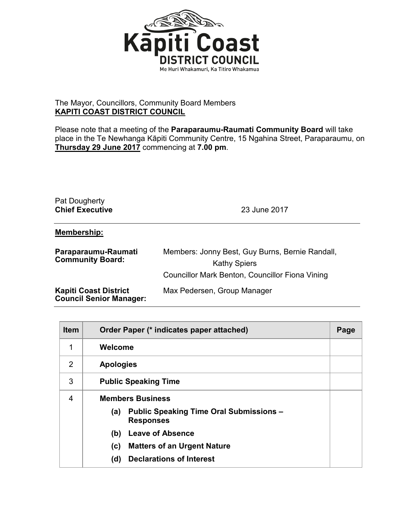

## The Mayor, Councillors, Community Board Members **KAPITI COAST DISTRICT COUNCIL**

Please note that a meeting of the **Paraparaumu-Raumati Community Board** will take place in the Te Newhanga Kāpiti Community Centre, 15 Ngahina Street, Paraparaumu, on **Thursday 29 June 2017** commencing at **7.00 pm**.

## Pat Dougherty **Chief Executive** 23 June 2017

## **Membership:**

| Paraparaumu-Raumati<br><b>Community Board:</b>                 | Members: Jonny Best, Guy Burns, Bernie Randall,<br><b>Kathy Spiers</b><br>Councillor Mark Benton, Councillor Fiona Vining |
|----------------------------------------------------------------|---------------------------------------------------------------------------------------------------------------------------|
| <b>Kapiti Coast District</b><br><b>Council Senior Manager:</b> | Max Pedersen, Group Manager                                                                                               |

| <b>Item</b> | Order Paper (* indicates paper attached)                                  | Page |
|-------------|---------------------------------------------------------------------------|------|
| 1           | Welcome                                                                   |      |
| 2           | <b>Apologies</b>                                                          |      |
| 3           | <b>Public Speaking Time</b>                                               |      |
| 4           | <b>Members Business</b>                                                   |      |
|             | <b>Public Speaking Time Oral Submissions -</b><br>(a)<br><b>Responses</b> |      |
|             | <b>Leave of Absence</b><br>(b)                                            |      |
|             | <b>Matters of an Urgent Nature</b><br>(c)                                 |      |
|             | <b>Declarations of Interest</b><br>(d)                                    |      |